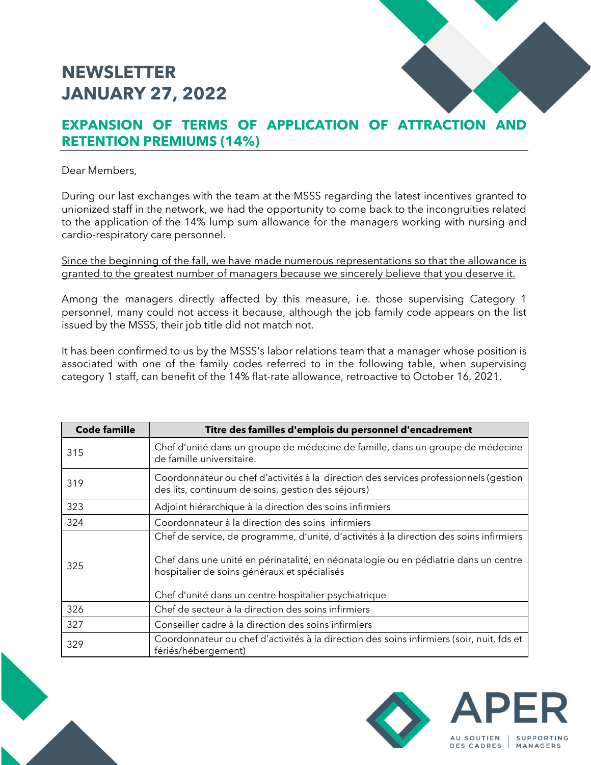## **NEWSLETTER JANUARY 27, 2022**

## **EXPANSION OF TERMS OF APPLICATION OF ATTRACTION AND RETENTION PREMIUMS (14%)**

Dear Members,

During our last exchanges with the team at the MSSS regarding the latest incentives granted to unionized staff in the network, we had the opportunity to come back to the incongruities related to the application of the 14% lump sum allowance for the managers working with nursing and cardio-respiratory care personnel.

Since the beginning of the fall, we have made numerous representations so that the allowance is granted to the greatest number of managers because we sincerely believe that you deserve it.

Among the managers directly affected by this measure, i.e. those supervising Category 1 personnel, many could not access it because, although the job family code appears on the list issued by the MSSS, their job title did not match not.

It has been confirmed to us by the MSSS's labor relations team that a manager whose position is associated with one of the family codes referred to in the following table, when supervising category 1 staff, can benefit of the 14% flat-rate allowance, retroactive to October 16, 2021.

| <b>Code famille</b> | Titre des familles d'emplois du personnel d'encadrement                                                                                                                                                                                                                                 |
|---------------------|-----------------------------------------------------------------------------------------------------------------------------------------------------------------------------------------------------------------------------------------------------------------------------------------|
| 315                 | Chef d'unité dans un groupe de médecine de famille, dans un groupe de médecine<br>de famille universitaire.                                                                                                                                                                             |
| 319                 | Coordonnateur ou chef d'activités à la direction des services professionnels (gestion<br>des lits, continuum de soins, gestion des séjours)                                                                                                                                             |
| 323                 | Adjoint hiérarchique à la direction des soins infirmiers                                                                                                                                                                                                                                |
| 324                 | Coordonnateur à la direction des soins infirmiers                                                                                                                                                                                                                                       |
| 325                 | Chef de service, de programme, d'unité, d'activités à la direction des soins infirmiers<br>Chef dans une unité en périnatalité, en néonatalogie ou en pédiatrie dans un centre<br>hospitalier de soins généraux et spécialisés<br>Chef d'unité dans un centre hospitalier psychiatrique |
| 326                 | Chef de secteur à la direction des soins infirmiers                                                                                                                                                                                                                                     |
| 327                 | Conseiller cadre à la direction des soins infirmiers                                                                                                                                                                                                                                    |
| 329                 | Coordonnateur ou chef d'activités à la direction des soins infirmiers (soir, nuit, fds et<br>fériés/hébergement)                                                                                                                                                                        |